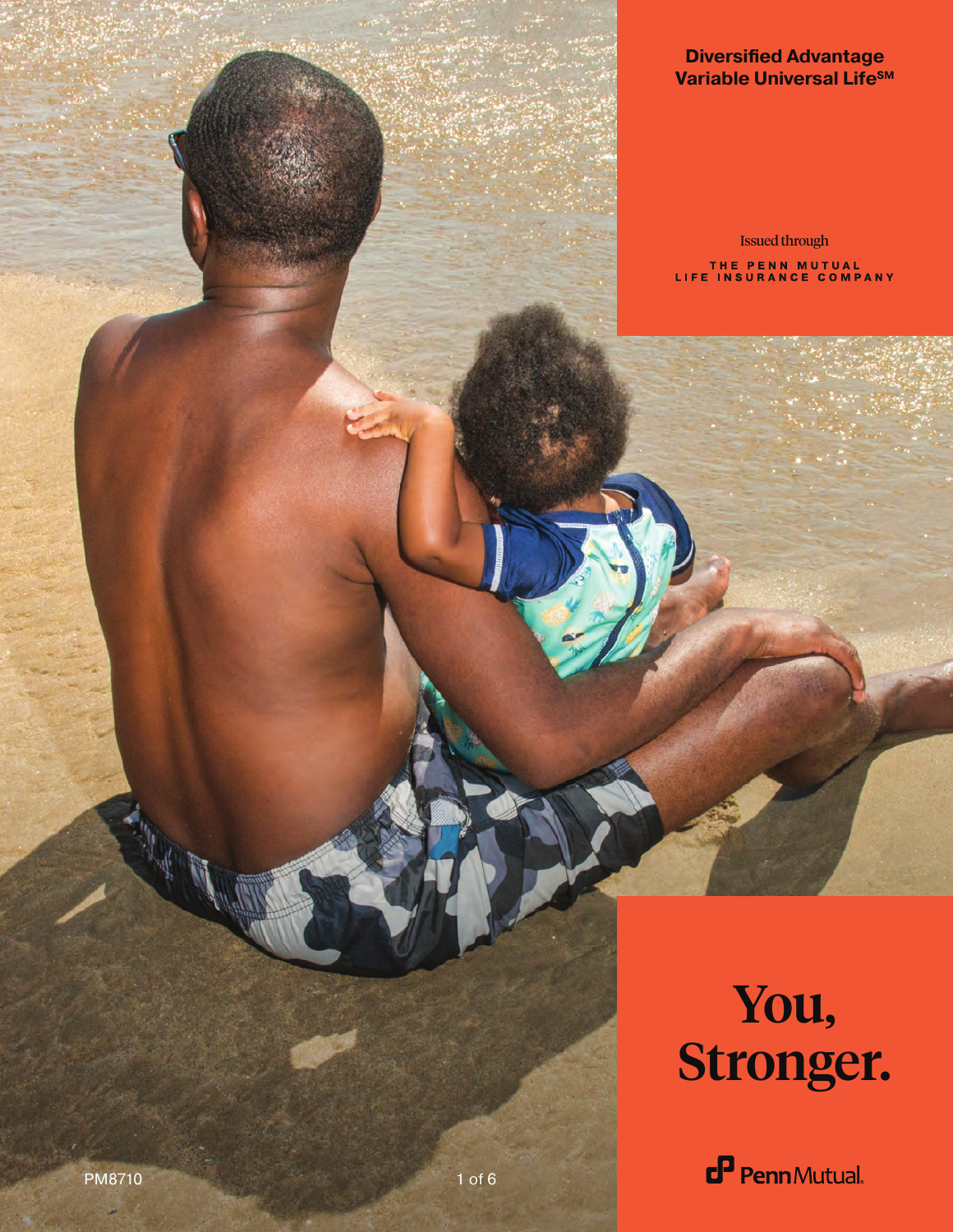#### **Diversified Advantage Variable Universal LifeSM**

Issued throughTHE PENN MUTUAL<br>LIFE INSURANCE COMPANY

# You, Stronger.

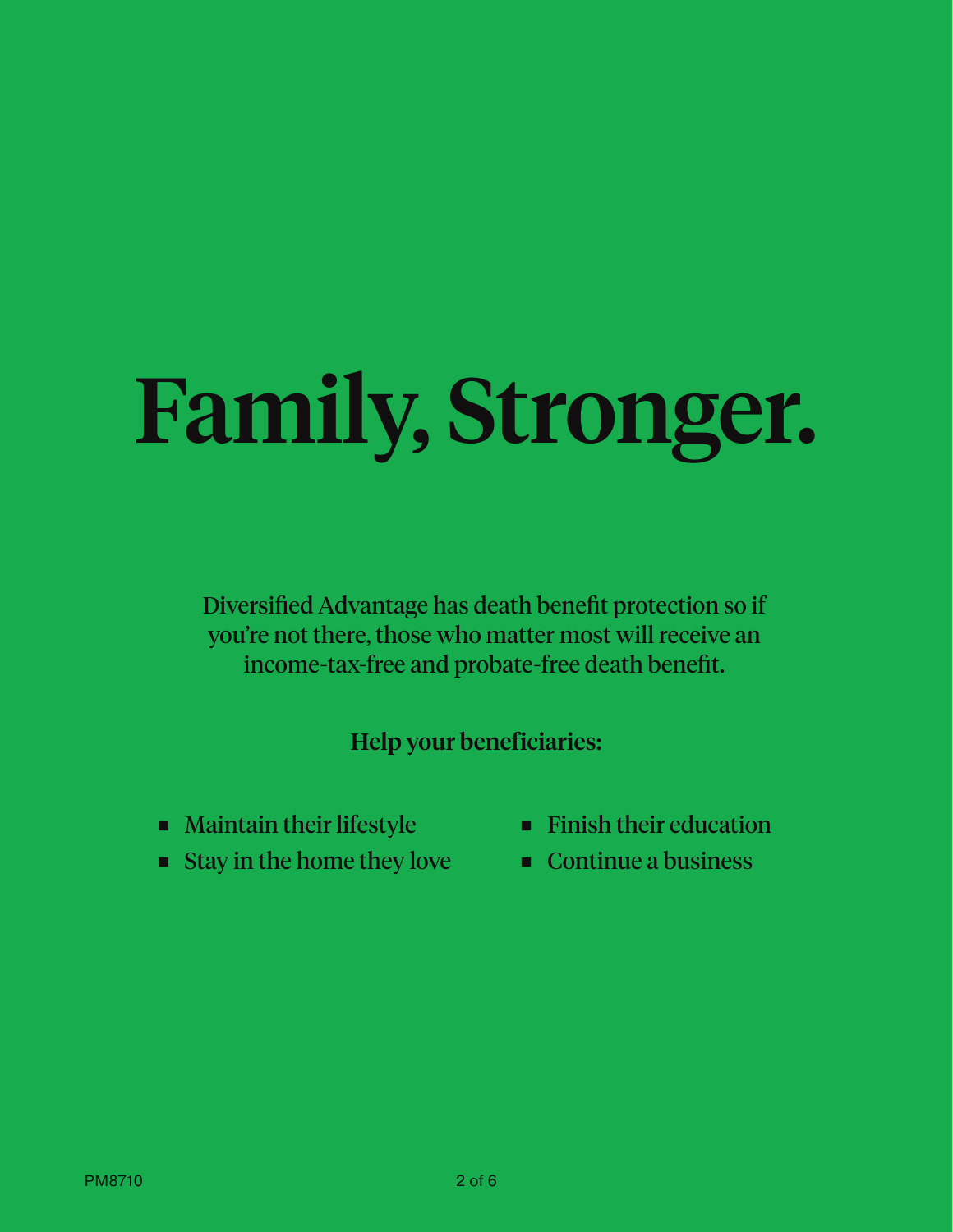# Family, Stronger.

Diversified Advantage has death benefit protection so if you're not there, those who matter most will receive an income-tax-free and probate-free death benefit.

Help your beneficiaries:

- Maintain their lifestyle
- Stay in the home they love
- Finish their education
- Continue a business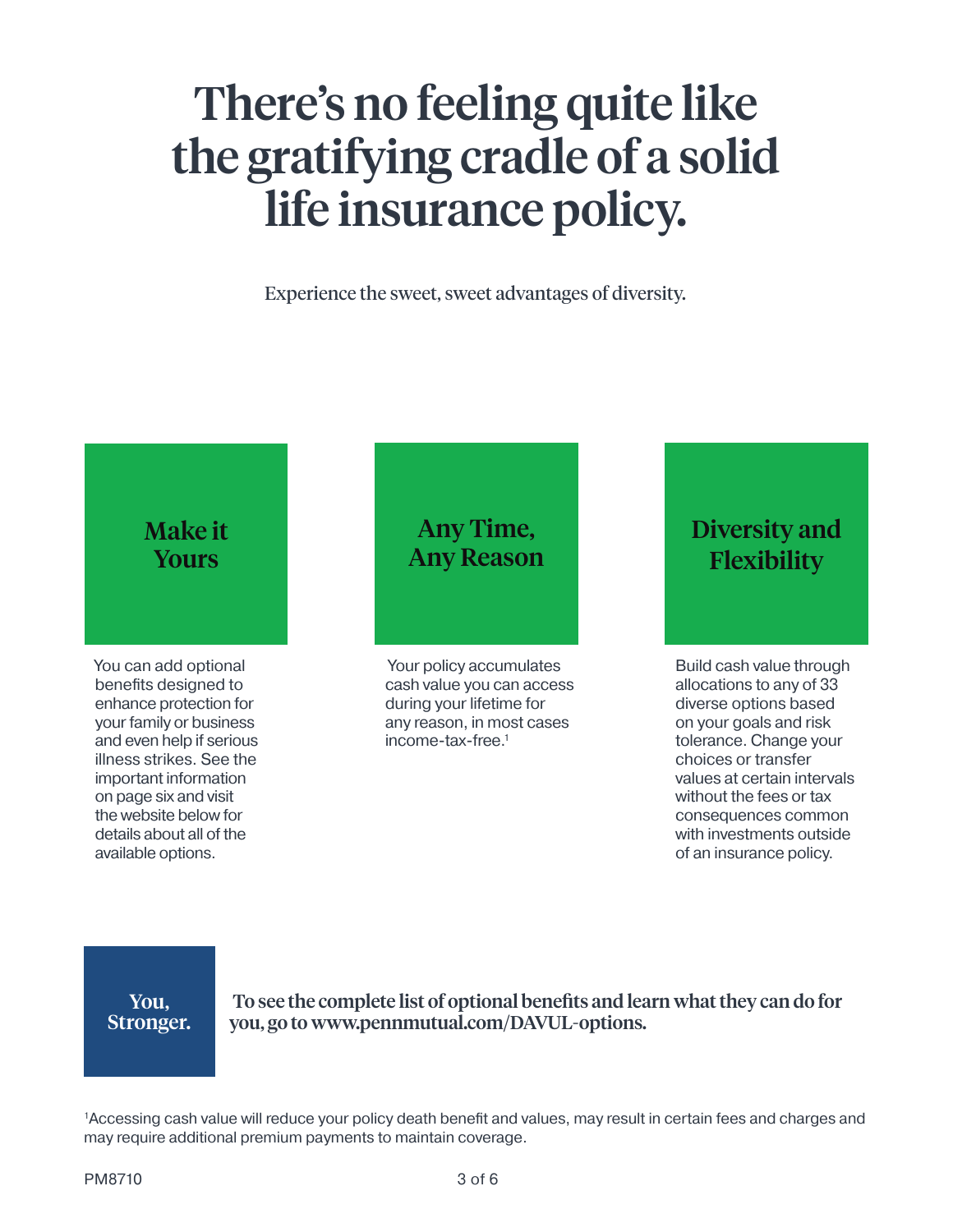# There's no feeling quite like the gratifying cradle of a solid life insurance policy.

Experience the sweet, sweet advantages of diversity.

#### Make it Yours

You can add optional benefits designed to enhance protection for your family or business and even help if serious illness strikes. See the important information on page six and visit the website below for details about all of the available options.

### Any Time, Any Reason

 Your policy accumulates cash value you can access during your lifetime for any reason, in most cases income-tax-free.1

### Diversity and Flexibility

Build cash value through allocations to any of 33 diverse options based on your goals and risk tolerance. Change your choices or transfer values at certain intervals without the fees or tax consequences common with investments outside of an insurance policy.

You, Stronger.

To see the complete list of optional benefits and learn what they can do for you, go to www.pennmutual.com/DAVUL-options.

1 Accessing cash value will reduce your policy death benefit and values, may result in certain fees and charges and may require additional premium payments to maintain coverage.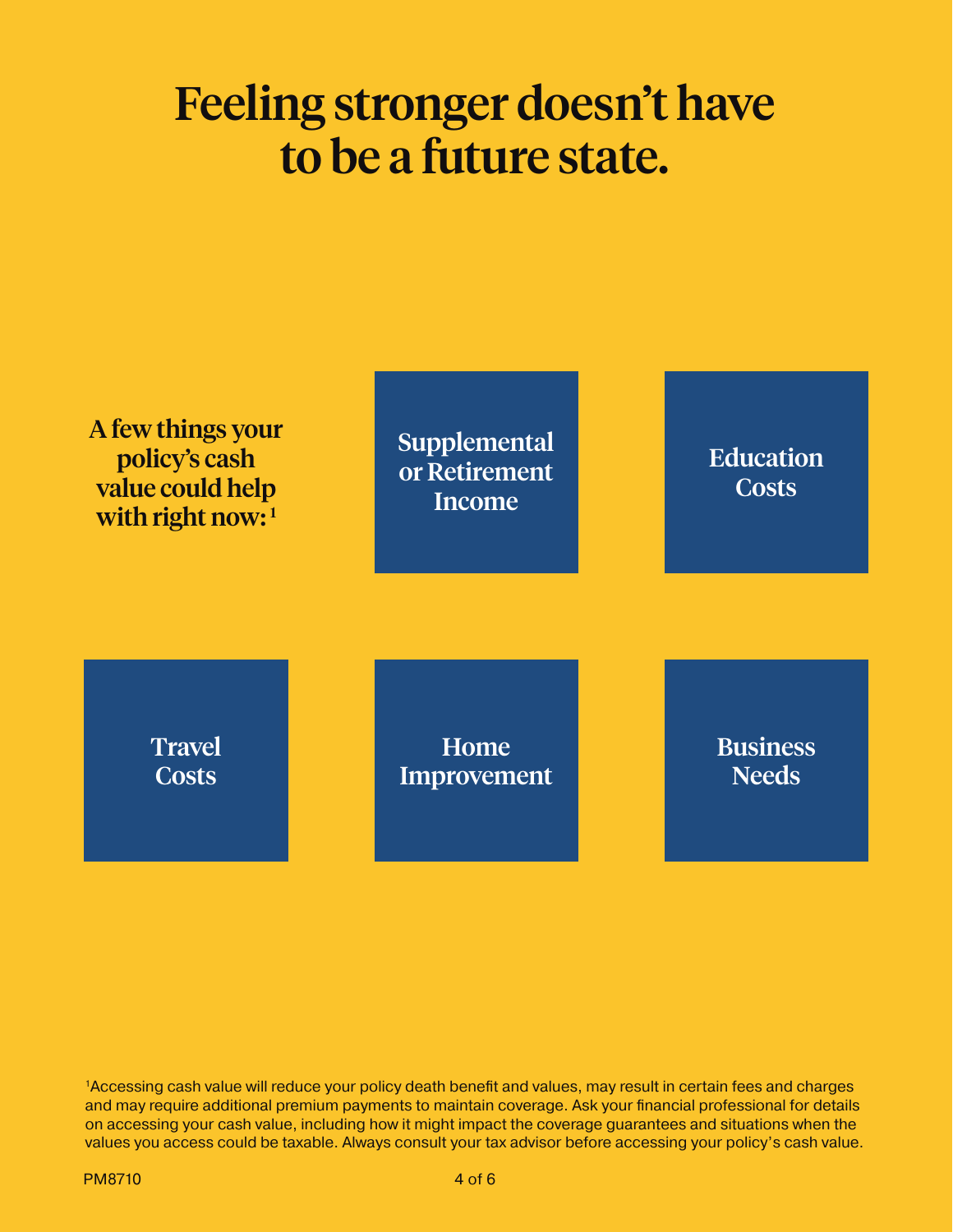### Feeling stronger doesn't have to be a future state.



1Accessing cash value will reduce your policy death benefit and values, may result in certain fees and charges and may require additional premium payments to maintain coverage. Ask your financial professional for details on accessing your cash value, including how it might impact the coverage guarantees and situations when the values you access could be taxable. Always consult your tax advisor before accessing your policy's cash value.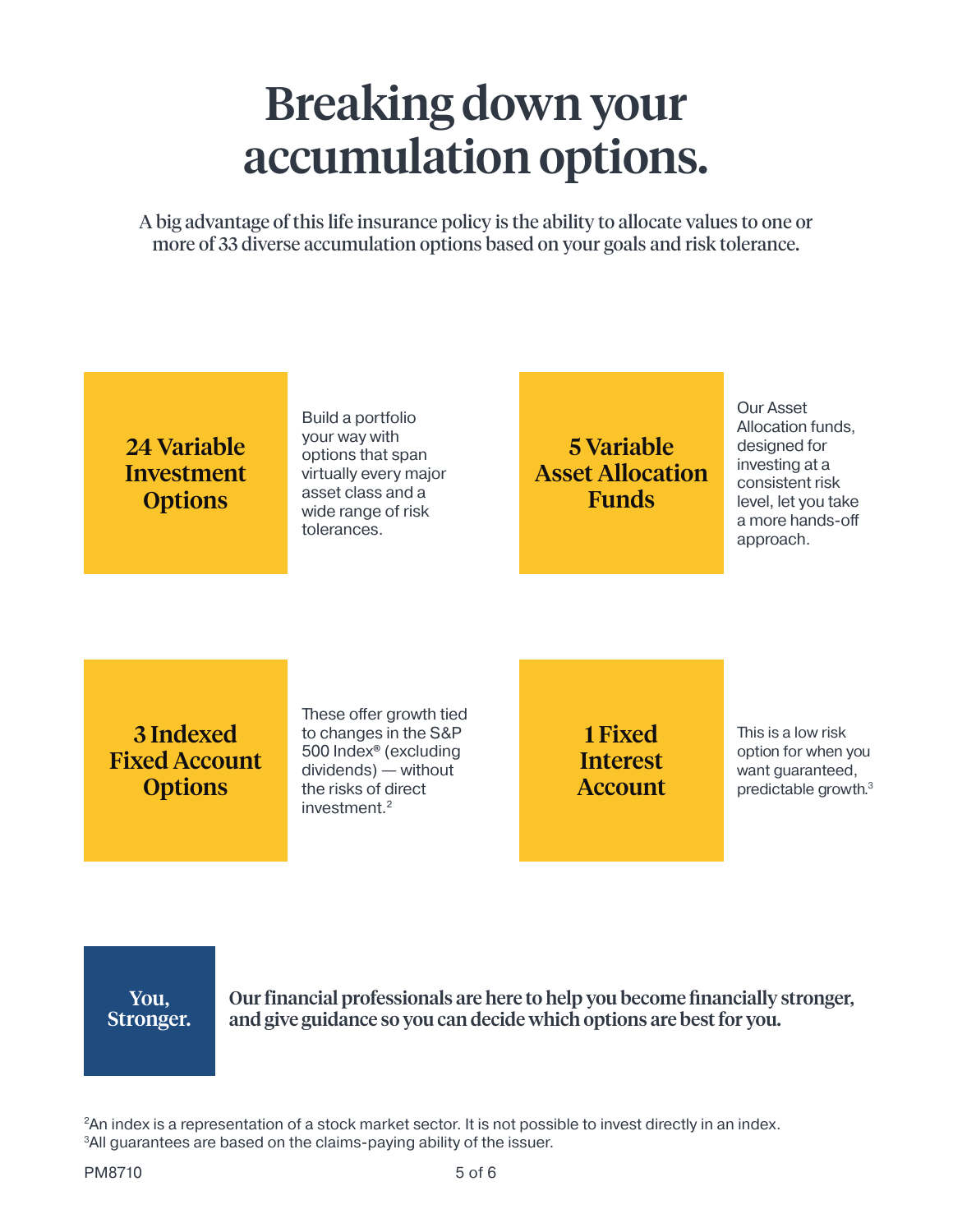## Breaking down your accumulation options.

A big advantage of this life insurance policy is the ability to allocate values to one or more of 33 diverse accumulation options based on your goals and risk tolerance.

### 24 Variable Investment **Options**

Build a portfolio your way with options that span virtually every major asset class and a wide range of risk tolerances.

### 5 Variable Asset Allocation Funds

Our Asset Allocation funds, designed for investing at a consistent risk level, let you take a more hands-off approach.

3 Indexed Fixed Account **Options** 

These offer growth tied to changes in the S&P 500 Index**®** (excluding dividends) — without the risks of direct investment.2

1 Fixed Interest Account This is a low risk option for when you want guaranteed, predictable growth.3

You, Stronger. Our financial professionals are here to help you become financially stronger, and give guidance so you can decide which options are best for you.

<sup>2</sup>An index is a representation of a stock market sector. It is not possible to invest directly in an index. <sup>3</sup>All guarantees are based on the claims-paying ability of the issuer.